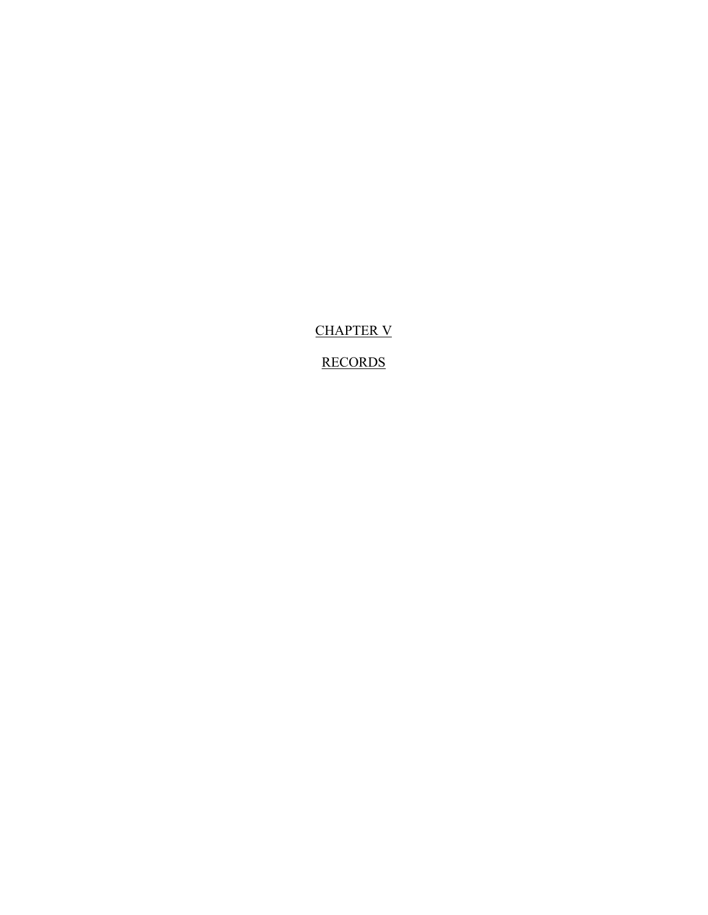CHAPTER V

RECORDS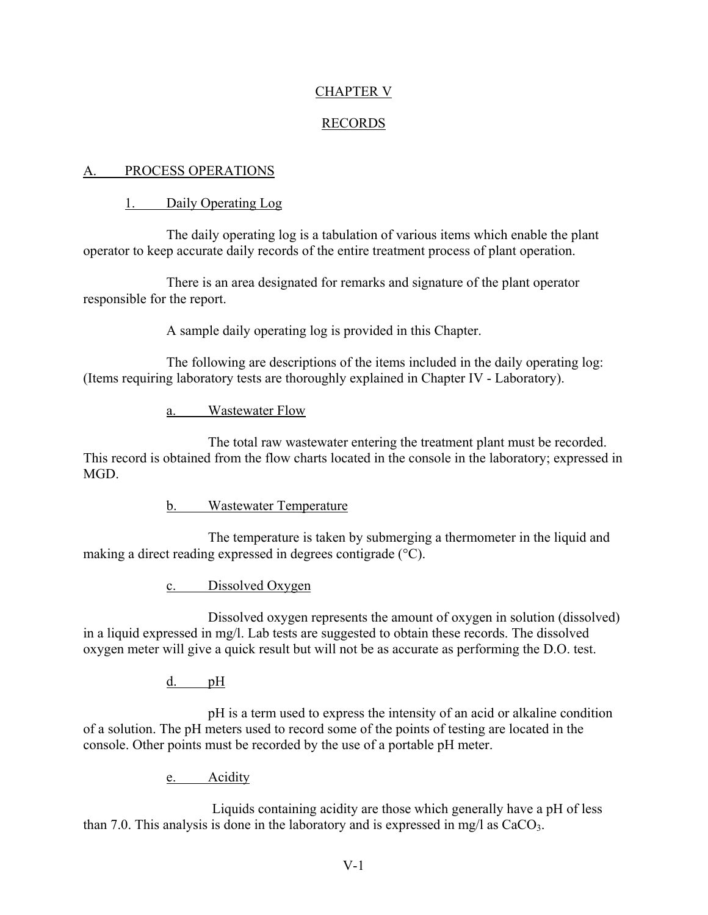# CHAPTER V

# RECORDS

## A. PROCESS OPERATIONS

# 1. Daily Operating Log

The daily operating log is a tabulation of various items which enable the plant operator to keep accurate daily records of the entire treatment process of plant operation.

There is an area designated for remarks and signature of the plant operator responsible for the report.

A sample daily operating log is provided in this Chapter.

The following are descriptions of the items included in the daily operating log: (Items requiring laboratory tests are thoroughly explained in Chapter IV - Laboratory).

a. Wastewater Flow

The total raw wastewater entering the treatment plant must be recorded. This record is obtained from the flow charts located in the console in the laboratory; expressed in MGD.

b. Wastewater Temperature

The temperature is taken by submerging a thermometer in the liquid and making a direct reading expressed in degrees contigrade (°C).

c. Dissolved Oxygen

Dissolved oxygen represents the amount of oxygen in solution (dissolved) in a liquid expressed in mg/l. Lab tests are suggested to obtain these records. The dissolved oxygen meter will give a quick result but will not be as accurate as performing the D.O. test.

d. pH

pH is a term used to express the intensity of an acid or alkaline condition of a solution. The pH meters used to record some of the points of testing are located in the console. Other points must be recorded by the use of a portable pH meter.

e. Acidity

Liquids containing acidity are those which generally have a pH of less than 7.0. This analysis is done in the laboratory and is expressed in mg/l as  $CaCO<sub>3</sub>$ .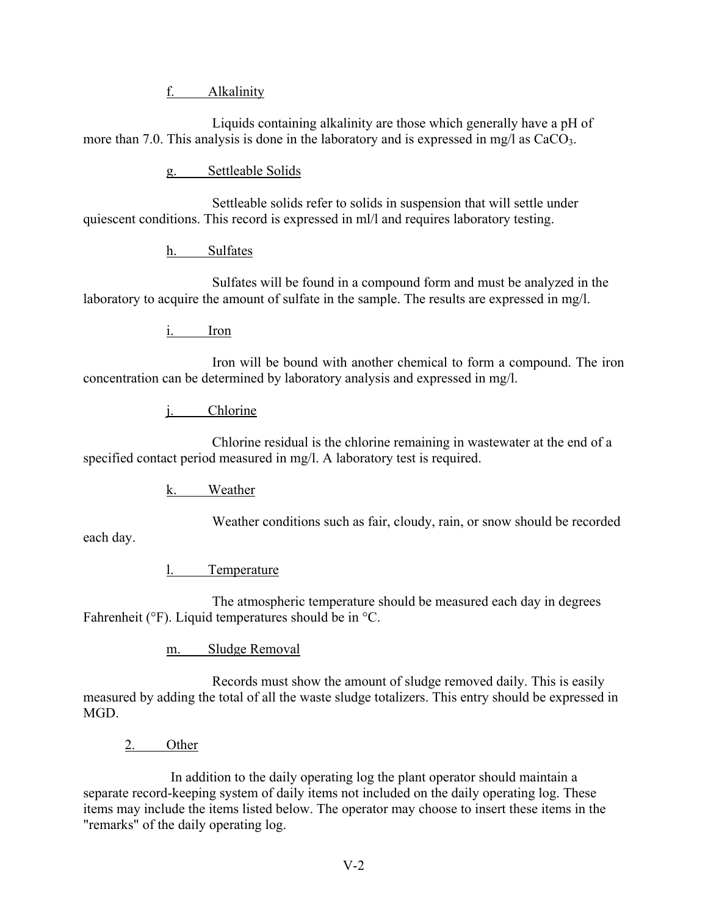f. Alkalinity

Liquids containing alkalinity are those which generally have a pH of more than 7.0. This analysis is done in the laboratory and is expressed in mg/l as  $CaCO<sub>3</sub>$ .

g. Settleable Solids

Settleable solids refer to solids in suspension that will settle under quiescent conditions. This record is expressed in ml/l and requires laboratory testing.

h. Sulfates

Sulfates will be found in a compound form and must be analyzed in the laboratory to acquire the amount of sulfate in the sample. The results are expressed in mg/l.

i. Iron

Iron will be bound with another chemical to form a compound. The iron concentration can be determined by laboratory analysis and expressed in mg/l.

j. Chlorine

Chlorine residual is the chlorine remaining in wastewater at the end of a specified contact period measured in mg/l. A laboratory test is required.

k. Weather

Weather conditions such as fair, cloudy, rain, or snow should be recorded

each day.

l. Temperature

The atmospheric temperature should be measured each day in degrees Fahrenheit (°F). Liquid temperatures should be in °C.

m. Sludge Removal

Records must show the amount of sludge removed daily. This is easily measured by adding the total of all the waste sludge totalizers. This entry should be expressed in MGD.

2. Other

In addition to the daily operating log the plant operator should maintain a separate record-keeping system of daily items not included on the daily operating log. These items may include the items listed below. The operator may choose to insert these items in the "remarks" of the daily operating log.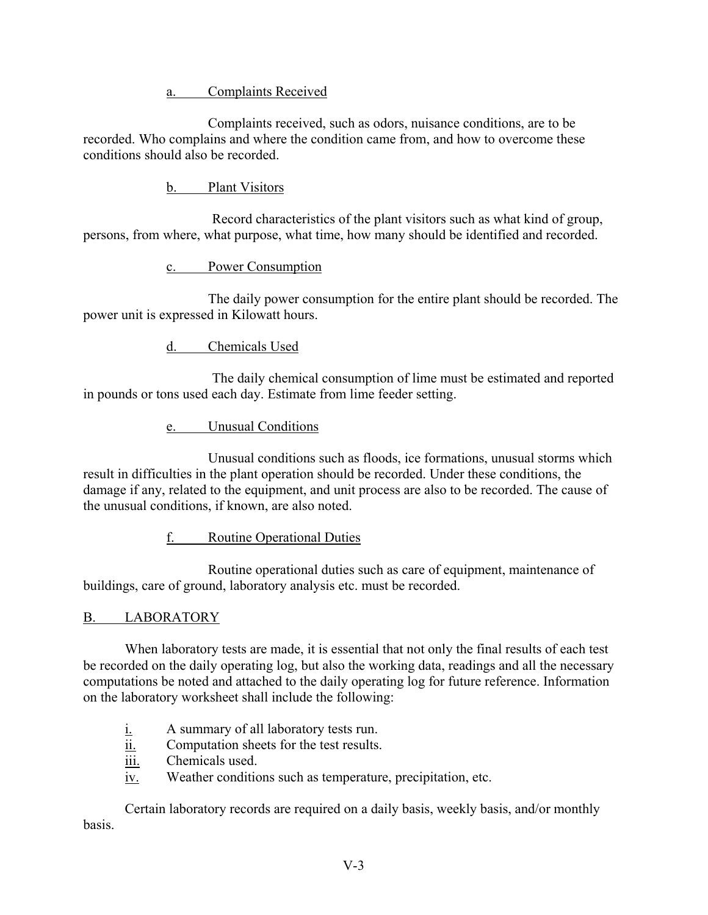a. Complaints Received

Complaints received, such as odors, nuisance conditions, are to be recorded. Who complains and where the condition came from, and how to overcome these conditions should also be recorded.

b. Plant Visitors

Record characteristics of the plant visitors such as what kind of group, persons, from where, what purpose, what time, how many should be identified and recorded.

c. Power Consumption

The daily power consumption for the entire plant should be recorded. The power unit is expressed in Kilowatt hours.

d. Chemicals Used

The daily chemical consumption of lime must be estimated and reported in pounds or tons used each day. Estimate from lime feeder setting.

e. Unusual Conditions

Unusual conditions such as floods, ice formations, unusual storms which result in difficulties in the plant operation should be recorded. Under these conditions, the damage if any, related to the equipment, and unit process are also to be recorded. The cause of the unusual conditions, if known, are also noted.

f. Routine Operational Duties

Routine operational duties such as care of equipment, maintenance of buildings, care of ground, laboratory analysis etc. must be recorded.

## B. LABORATORY

When laboratory tests are made, it is essential that not only the final results of each test be recorded on the daily operating log, but also the working data, readings and all the necessary computations be noted and attached to the daily operating log for future reference. Information on the laboratory worksheet shall include the following:

- i. A summary of all laboratory tests run.
- ii. Computation sheets for the test results.
- iii. Chemicals used.
- iv. Weather conditions such as temperature, precipitation, etc.

Certain laboratory records are required on a daily basis, weekly basis, and/or monthly basis.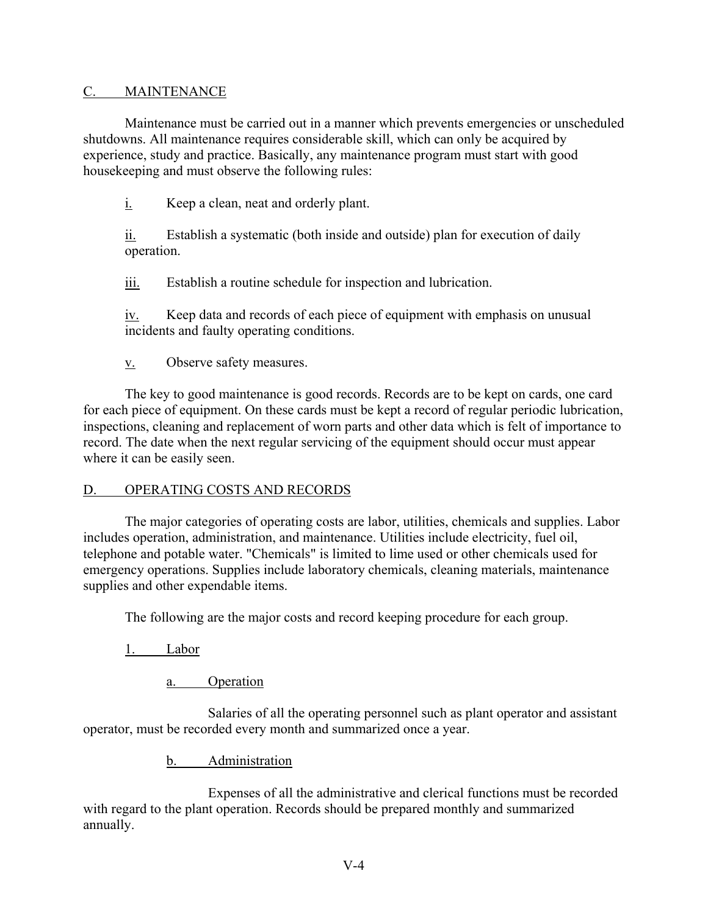### C. MAINTENANCE

Maintenance must be carried out in a manner which prevents emergencies or unscheduled shutdowns. All maintenance requires considerable skill, which can only be acquired by experience, study and practice. Basically, any maintenance program must start with good housekeeping and must observe the following rules:

i. Keep a clean, neat and orderly plant.

ii. Establish a systematic (both inside and outside) plan for execution of daily operation.

iii. Establish a routine schedule for inspection and lubrication.

iv. Keep data and records of each piece of equipment with emphasis on unusual incidents and faulty operating conditions.

v. Observe safety measures.

The key to good maintenance is good records. Records are to be kept on cards, one card for each piece of equipment. On these cards must be kept a record of regular periodic lubrication, inspections, cleaning and replacement of worn parts and other data which is felt of importance to record. The date when the next regular servicing of the equipment should occur must appear where it can be easily seen.

## D. OPERATING COSTS AND RECORDS

The major categories of operating costs are labor, utilities, chemicals and supplies. Labor includes operation, administration, and maintenance. Utilities include electricity, fuel oil, telephone and potable water. "Chemicals" is limited to lime used or other chemicals used for emergency operations. Supplies include laboratory chemicals, cleaning materials, maintenance supplies and other expendable items.

The following are the major costs and record keeping procedure for each group.

1. Labor

a. Operation

Salaries of all the operating personnel such as plant operator and assistant operator, must be recorded every month and summarized once a year.

b. Administration

Expenses of all the administrative and clerical functions must be recorded with regard to the plant operation. Records should be prepared monthly and summarized annually.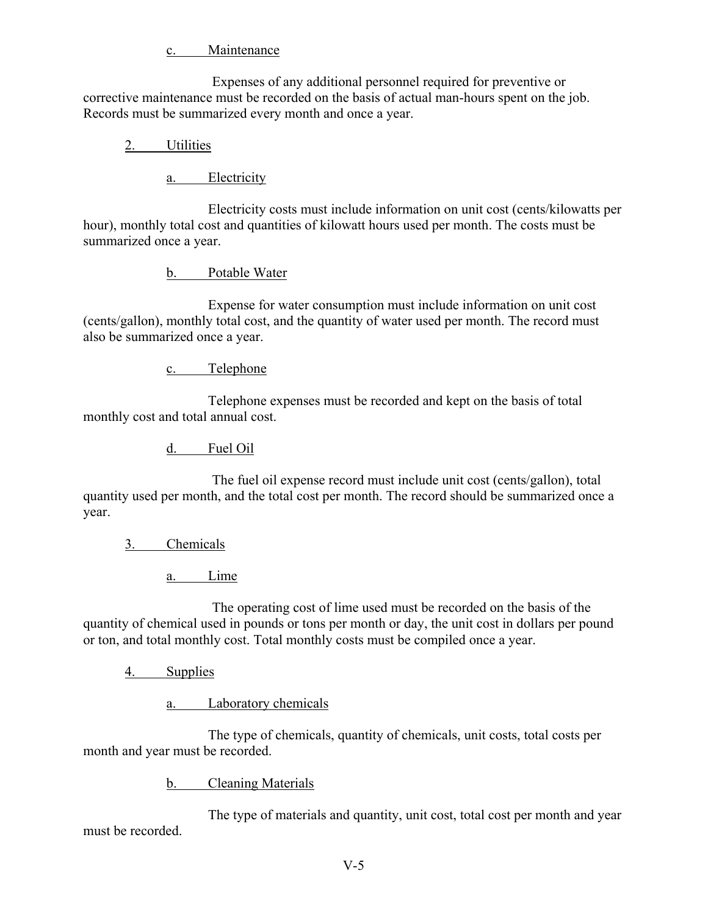c. Maintenance

Expenses of any additional personnel required for preventive or corrective maintenance must be recorded on the basis of actual man-hours spent on the job. Records must be summarized every month and once a year.

# 2. Utilities

a. Electricity

Electricity costs must include information on unit cost (cents/kilowatts per hour), monthly total cost and quantities of kilowatt hours used per month. The costs must be summarized once a year.

b. Potable Water

Expense for water consumption must include information on unit cost (cents/gallon), monthly total cost, and the quantity of water used per month. The record must also be summarized once a year.

c. Telephone

Telephone expenses must be recorded and kept on the basis of total monthly cost and total annual cost.

d. Fuel Oil

The fuel oil expense record must include unit cost (cents/gallon), total quantity used per month, and the total cost per month. The record should be summarized once a year.

3. Chemicals

a. Lime

The operating cost of lime used must be recorded on the basis of the quantity of chemical used in pounds or tons per month or day, the unit cost in dollars per pound or ton, and total monthly cost. Total monthly costs must be compiled once a year.

4. Supplies

a. Laboratory chemicals

The type of chemicals, quantity of chemicals, unit costs, total costs per month and year must be recorded.

b. Cleaning Materials

The type of materials and quantity, unit cost, total cost per month and year must be recorded.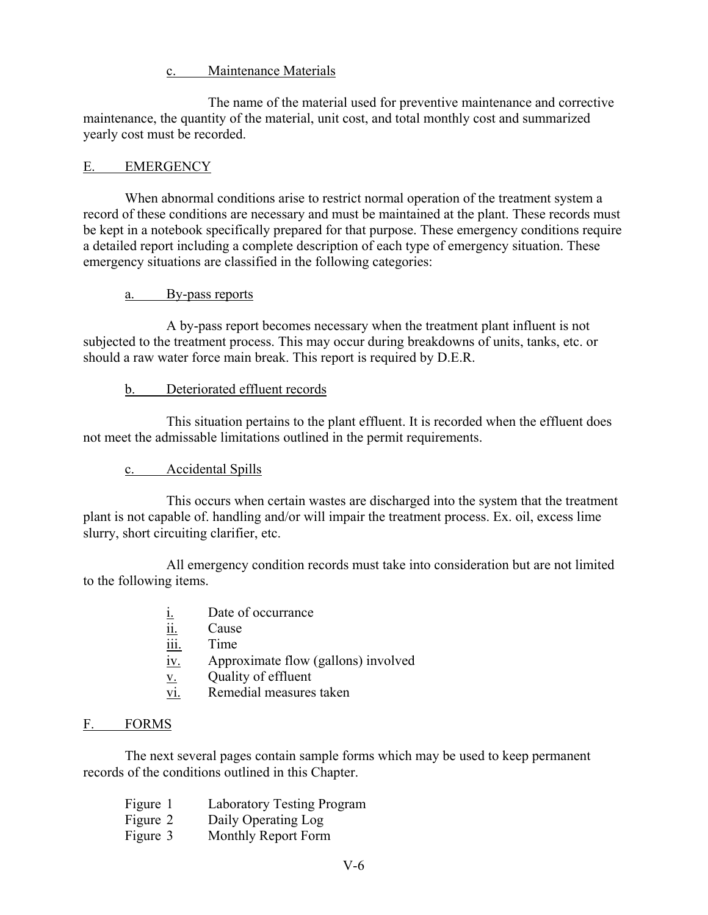c. Maintenance Materials

The name of the material used for preventive maintenance and corrective maintenance, the quantity of the material, unit cost, and total monthly cost and summarized yearly cost must be recorded.

## E. EMERGENCY

When abnormal conditions arise to restrict normal operation of the treatment system a record of these conditions are necessary and must be maintained at the plant. These records must be kept in a notebook specifically prepared for that purpose. These emergency conditions require a detailed report including a complete description of each type of emergency situation. These emergency situations are classified in the following categories:

#### a. By-pass reports

A by-pass report becomes necessary when the treatment plant influent is not subjected to the treatment process. This may occur during breakdowns of units, tanks, etc. or should a raw water force main break. This report is required by D.E.R.

### b. Deteriorated effluent records

This situation pertains to the plant effluent. It is recorded when the effluent does not meet the admissable limitations outlined in the permit requirements.

## c. Accidental Spills

This occurs when certain wastes are discharged into the system that the treatment plant is not capable of. handling and/or will impair the treatment process. Ex. oil, excess lime slurry, short circuiting clarifier, etc.

All emergency condition records must take into consideration but are not limited to the following items.

- i. Date of occurrance
- ii. Cause
- iii. Time
- iv. Approximate flow (gallons) involved
- v. Quality of effluent
- vi. Remedial measures taken

#### F. FORMS

The next several pages contain sample forms which may be used to keep permanent records of the conditions outlined in this Chapter.

- Figure 1 Laboratory Testing Program
- Figure 2 Daily Operating Log
- Figure 3 Monthly Report Form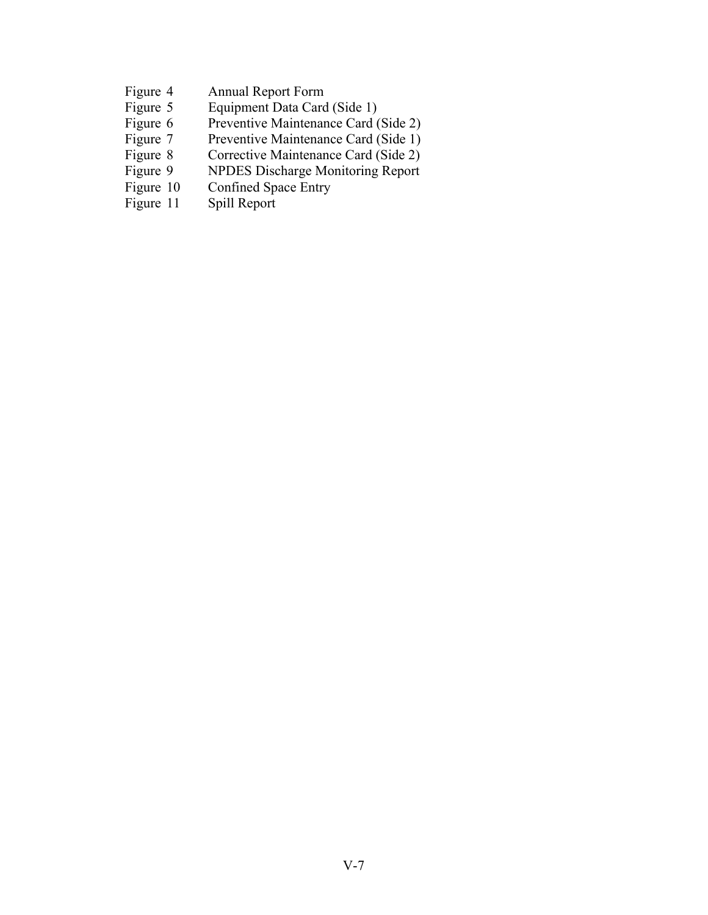- 
- Figure 4 Annual Report Form<br>Figure 5 Equipment Data Card Figure 5 Equipment Data Card (Side 1)<br>Figure 6 Preventive Maintenance Card (
- Preventive Maintenance Card (Side 2)
- 
- Figure 7 Preventive Maintenance Card (Side 1)<br>Figure 8 Corrective Maintenance Card (Side 2) Figure 8 Corrective Maintenance Card (Side 2)<br>Figure 9 NPDES Discharge Monitoring Report
- Figure 9 NPDES Discharge Monitoring Report<br>Figure 10 Confined Space Entry
- Figure 10 Confined Space Entry<br>Figure 11 Spill Report
- Spill Report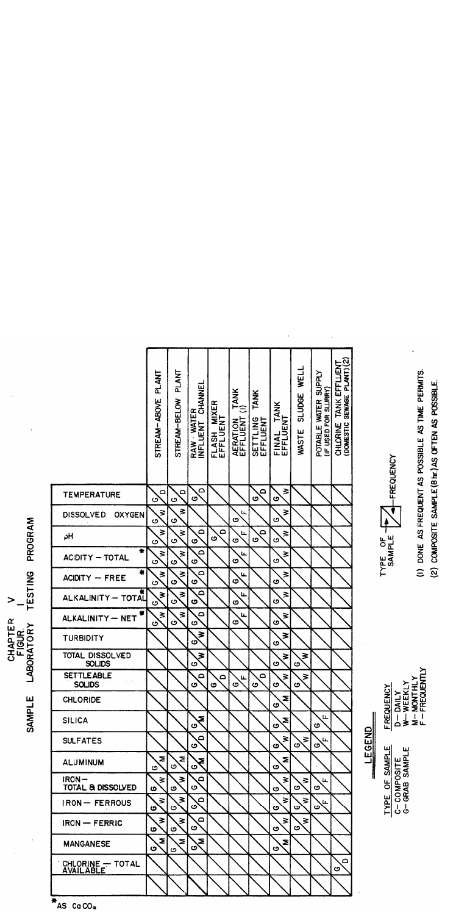CHLORINE TANK EFFLUENT<br>(DOMESTIC SEWAGE PLANT) (2) WASTE SLUDGE WELL **PLANT** POTABLE WATER SUPPLY<br>(IF USED FOR SLURRY) STREAM-ABOVE PLANT **RAW WATER<br>INFLUENT CHANNEL** AERATION TANK<br>EFFLUENT (I) SETTLING TANK<br>EFFLUENT STREAM-BELOW FLASH MIXER<br>EFFLUENT FINAL TANK<br>EFFLUENT  $\Delta$  $\geq$  $\overline{\mathbf{q}}$  $\Delta$  $\Delta$ **TEMPERATURE** ပ  $\mathbf \circ$ ပ ග ပ  $\geq$ ₹ ₹ **DISSOLVED OXYGEN** ဖ ن ٰت  $\mathbf{o}$  $\Omega$  $\geq$  $\Omega$  $\overline{\mathbf{q}}$ ₹ Ľ, ₹ ρH ဖ ပ ပ  $\overline{\mathbf{c}}$  $\mathbf{o}$ ဖ  $\mathbf{o}$  $\Omega$ ₹ ₹ L. ₹ **ACIDITY - TOTAL** ဖ ဖ  $\overline{\mathbf{c}}$ ပ  $\mathbf \sigma$ ₹  $\Omega$  $\geq$ Щ ₹ **ACIDITY - FREE**  $\mathbf{o}$ ဖ  $\mathbf{o}$  $\mathbf \sigma$ ပ ALKALINITY-TOTAL  $\overline{\mathsf{c}}$  $\geq$  $\geq$ ₹ L. ပ ٰت ဖ ပ ග  $\geq$  $\Omega$  $\geq$ Щ ₹ ALKALINITY - NET ပ  $\dot{\mathbf{o}}$ ပ ပ ပ ₹ ₹ TURBIDITY ග  $\mathbf{o}$ **TOTAL DISSOLVED**  $\geq$ ₹ ₹ SOLIDS ၒ ဖ  $\mathbf{o}$ **SETTLEABLE**  $\overline{\mathbf{C}}$  $\Omega$  $\geq$  $\geq$  $\overline{\mathbf{C}}$ Ľ. **SOLIDS** ဖ ဖ O  $\overline{\mathbf{c}}$ ග ပ Σ **CHLORIDE** ဖ Ľ, **SILICA** Σ Ξ ဖ ဖ ဖ LEGEND  $\geq$  $\Delta$  $\geq$ **SULFATES** L. ပ ဖ ပ ග Z Σ Σ **ALUMINUM** ξ ဖ ဖ ဖ ဖ  $IRON \Delta$  $\geq$ ₹ ₹  $\geq$ L. TOTAL & DISSOLVED  $\mathbf{o}$ Ġ ဖ ဖ ဖ O  $\overline{\mathbf{z}}$  $\geq$  $\overline{\mathsf{d}}$ ≽  $\geq$ **IRON-FERROUS** L. ပ ပ ပ ဖ ပ ဖ  $\Omega$ ₹  $\geq$ ₹ ⋧ **IRON - FERRIC** ၒ  $\mathbf{o}$ ဖ ပ ဖ  $\mathbf{z}$ ξ Š Ξ **MANGANESE** ပ ပ ပ ဖ  $\Delta$ CHLORINE - TOTAL<br>AVAILABLE  $\mathbf{o}$ 

(I) DONE AS FREQUENT AS POSSIBLE AS TIME PERMITS. (2) COMPOSITE SAMPLE (8 hr.) AS OFTEN AS POSSIBLE.

TYPE OF

4-FREQUENCY

**M-MONTHLY**<br>F-FREQUENTLY W-WEEKLY **FREQUENCY**  $D - DAILY$ **TYPE OF SAMPLE** C-COMPOSITE<br>G-GRAB SAMPLE

AS CaCO<sub>3</sub>

**CHAPTER<br>FIGUR<br>LABORATORY** SAMPLE

PROGRAM

TESTING

 $\geq$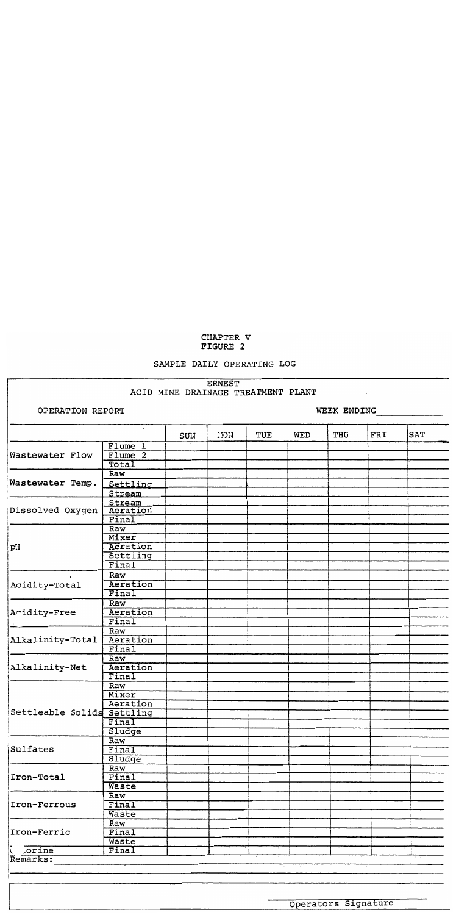#### CHAPTER V FIGURE 2

#### SAMPLE DAILY OPERATING LOG

#### ERNEST ACID MINE DRAINAGE TREATMENT PLANT

OPERATION REPORT

WEEK ENDING

 $\sim$  100  $\mu$ 

|                            | $\tilde{\phantom{a}}$   | SUN | 10N | TUE | WED | THU                 | FRI | <b>SAT</b> |
|----------------------------|-------------------------|-----|-----|-----|-----|---------------------|-----|------------|
|                            | Flume 1                 |     |     |     |     |                     |     |            |
| Wastewater Flow            | Flume <sub>2</sub>      |     |     |     |     |                     |     |            |
|                            | Total                   |     |     |     |     |                     |     |            |
|                            | Raw                     |     |     |     |     |                     |     |            |
| Wastewater Temp.           | Settling                |     |     |     |     |                     |     |            |
|                            | Stream                  |     |     |     |     |                     |     |            |
|                            | Stream                  |     |     |     |     |                     |     |            |
| Dissolved Oxygen           | Aeration                |     |     |     |     |                     |     |            |
|                            | Final                   |     |     |     |     |                     |     |            |
|                            | Raw                     |     |     |     |     |                     |     |            |
|                            | Mixer                   |     |     |     |     |                     |     |            |
| pН                         | Aeration                |     |     |     |     |                     |     |            |
|                            | Settling                |     |     |     |     |                     |     |            |
|                            | Final                   |     |     |     |     |                     |     |            |
|                            | Raw                     |     |     |     |     |                     |     |            |
| Acidity-Total              | Aeration                |     |     |     |     |                     |     |            |
|                            | Final                   |     |     |     |     |                     |     |            |
|                            | Raw                     |     |     |     |     |                     |     |            |
| Acidity-Free               | Aeration                |     |     |     |     |                     |     |            |
|                            | Final                   |     |     |     |     |                     |     |            |
|                            | Raw                     |     |     |     |     |                     |     |            |
| Alkalinity-Total           | Aeration                |     |     |     |     |                     |     |            |
|                            | Final                   |     |     |     |     |                     |     |            |
|                            | Raw                     |     |     |     |     |                     |     |            |
| Alkalinity-Net             | Aeration                |     |     |     |     |                     |     |            |
|                            | Final                   |     |     |     |     |                     |     |            |
|                            | $\overline{\text{Raw}}$ |     |     |     |     |                     |     |            |
|                            | Mixer                   |     |     |     |     |                     |     |            |
|                            | Aeration                |     |     |     |     |                     |     |            |
| Settleable Solids Settling |                         |     |     |     |     |                     |     |            |
|                            | Final                   |     |     |     |     |                     |     |            |
|                            | Sludge                  |     |     |     |     |                     |     |            |
|                            | Raw                     |     |     |     |     |                     |     |            |
| Sulfates                   | Final                   |     |     |     |     |                     |     |            |
|                            |                         |     |     |     |     |                     |     |            |
|                            | Sludge                  |     |     |     |     |                     |     |            |
| Iron-Total                 | Raw<br>Final            |     |     |     |     |                     |     |            |
|                            |                         |     |     |     |     |                     |     |            |
|                            | Waste                   |     |     |     |     |                     |     |            |
|                            | Raw                     |     |     |     |     |                     |     |            |
| Iron-Ferrous               | Final                   |     |     |     |     |                     |     |            |
|                            | Waste                   |     |     |     |     |                     |     |            |
|                            | Raw                     |     |     |     |     |                     |     |            |
| Iron-Ferric                | Final                   |     |     |     |     |                     |     |            |
|                            | Waste                   |     |     |     |     |                     |     |            |
| Corine<br>Remarks:         | Final                   |     |     |     |     |                     |     |            |
|                            |                         |     |     |     |     |                     |     |            |
|                            |                         |     |     |     |     |                     |     |            |
|                            |                         |     |     |     |     |                     |     |            |
|                            |                         |     |     |     |     |                     |     |            |
|                            |                         |     |     |     |     |                     |     |            |
|                            |                         |     |     |     |     | Operators Signature |     |            |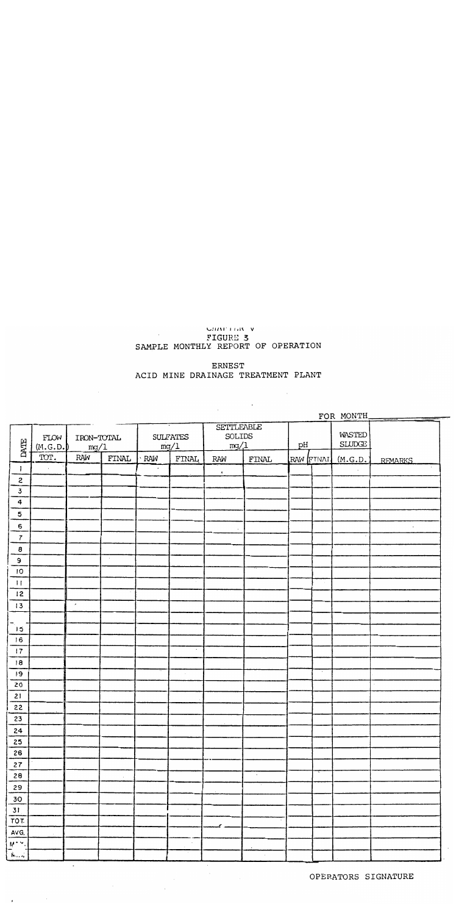# CHAPTER V FIGURE 3<br>SAMPLE MONTHLY REPORT OF OPERATION

ERNEST ACID MINE DRAINAGE TREATMENT PLANT

 $\sim$ 

|                         |                  |                     |        |           |                         |                                            |            |                   | FOR MONTH               |                |
|-------------------------|------------------|---------------------|--------|-----------|-------------------------|--------------------------------------------|------------|-------------------|-------------------------|----------------|
| DATE                    | FLOW<br>(M.G.D.) | IRON-TOTAL<br>mg/1  |        |           | <b>SULFATES</b><br>mg/1 | <b>SETTLEABLE</b><br><b>SOLIDS</b><br>mg/1 |            | pH                | WASTED<br><b>SLUDGE</b> |                |
|                         | TOT.             | RAW                 | FINAL  | RAW       | <b>FINAL</b>            | RAW                                        | FINAL      | RAW <b>ITIVAL</b> | (M.G.D.                 | <b>RFMARKS</b> |
| $\mathbf{I}$            |                  |                     |        | $\bullet$ |                         | $\pmb{\kappa}$                             |            |                   |                         |                |
| 2                       |                  |                     |        |           |                         |                                            |            |                   |                         |                |
| $\mathbf 3$             |                  |                     |        |           |                         |                                            |            |                   |                         |                |
| $\ddot{\bf 4}$          |                  |                     |        |           |                         |                                            |            |                   |                         |                |
| 5                       |                  |                     |        | $\cdot$   |                         |                                            |            |                   |                         |                |
| 6                       |                  |                     |        |           |                         |                                            |            |                   |                         | $\cdot$        |
| $\overline{7}$          |                  |                     |        |           |                         |                                            |            |                   |                         |                |
| 8                       |                  |                     |        |           |                         |                                            |            |                   |                         |                |
| Э                       |                  |                     | $\sim$ |           |                         |                                            |            |                   |                         |                |
| IО                      |                  |                     |        |           |                         |                                            |            |                   |                         |                |
| $\mathbf{H}$            |                  |                     |        |           |                         |                                            |            |                   |                         |                |
| 12                      |                  |                     |        |           |                         |                                            |            |                   |                         |                |
| 13                      |                  | $\hat{\phantom{a}}$ |        |           |                         |                                            |            |                   |                         |                |
|                         |                  |                     |        |           |                         |                                            |            |                   |                         |                |
| ้เธ                     |                  |                     |        |           |                         |                                            |            |                   |                         |                |
| 16                      |                  |                     |        |           |                         |                                            |            |                   |                         |                |
| 17                      |                  |                     |        |           | ٠                       |                                            |            |                   |                         |                |
| 18                      |                  |                     |        |           |                         |                                            |            |                   |                         |                |
| ١9                      |                  |                     |        |           | $\cdot$                 |                                            |            |                   |                         |                |
| 20                      |                  |                     |        |           |                         |                                            |            |                   |                         |                |
| 21                      |                  |                     |        |           |                         |                                            |            |                   |                         |                |
| 22                      |                  |                     |        |           |                         |                                            |            |                   |                         |                |
| 23                      |                  |                     |        |           |                         |                                            |            |                   |                         |                |
| 24                      |                  |                     |        |           |                         |                                            |            |                   |                         |                |
| 25                      |                  |                     |        |           |                         |                                            |            |                   |                         |                |
| 26                      |                  |                     |        |           |                         |                                            |            |                   |                         |                |
| 27                      |                  |                     |        |           |                         |                                            |            |                   |                         |                |
| 28                      |                  |                     | $\sim$ |           |                         |                                            | $_{\star}$ |                   |                         |                |
| 29                      |                  |                     |        |           |                         |                                            |            |                   |                         |                |
| $\frac{30}{31}$         |                  |                     |        |           |                         |                                            |            |                   |                         |                |
|                         |                  |                     |        |           | $\epsilon$              |                                            |            |                   |                         |                |
| $\overline{\text{rot}}$ |                  |                     |        |           |                         |                                            |            |                   |                         |                |
| AVG.                    |                  |                     |        |           |                         |                                            |            |                   |                         |                |
| eriy,                   |                  |                     |        |           | $\sim$                  |                                            |            |                   |                         |                |
| .<br>پس م               |                  |                     |        |           |                         |                                            | $\sim$     |                   |                         |                |

 $\mathcal{L}^{\text{max}}_{\text{max}}$ 

 $\Box$ 

OPERATORS SIGNATURE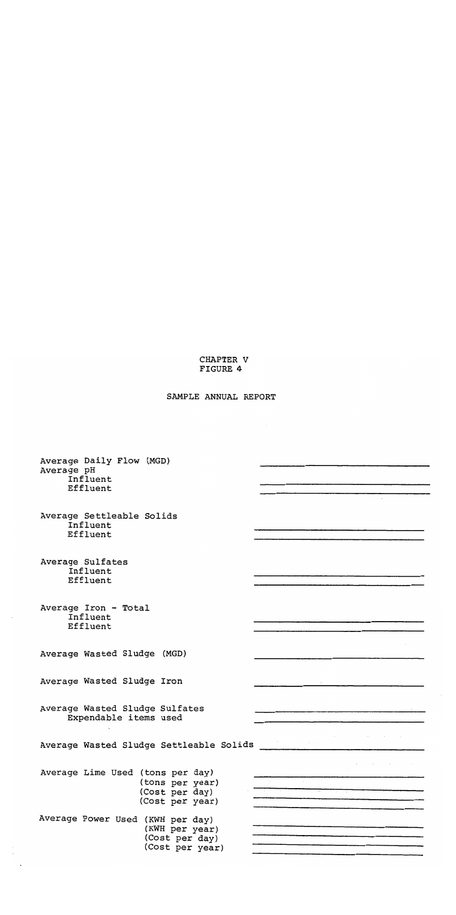#### CHAPTER V FIGURE 4

# SAMPLE ANNUAL REPORT

| Average Daily Flow (MGD)                |                         |
|-----------------------------------------|-------------------------|
| Average pH<br>Influent                  |                         |
| Effluent                                |                         |
|                                         |                         |
| Average Settleable Solids<br>Influent   |                         |
| Effluent                                |                         |
|                                         |                         |
| Average Sulfates<br>Influent            |                         |
| Effluent                                |                         |
|                                         |                         |
| Average Iron - Total<br>Influent        |                         |
| Effluent                                |                         |
|                                         |                         |
| Average Wasted Sludge (MGD)             |                         |
| Average Wasted Sludge Iron              |                         |
|                                         |                         |
| Average Wasted Sludge Sulfates          |                         |
| Expendable items used                   |                         |
|                                         | Service and the service |
| Average Wasted Sludge Settleable Solids |                         |
| Average Lime Used (tons per day)        |                         |
| (tons per year)                         |                         |
| (Cost per day)<br>(Cost per year)       |                         |
| Average Power Used (KWH per day)        |                         |
| (KWH per year)                          |                         |
| (Cost per day)<br>(Cost per year)       |                         |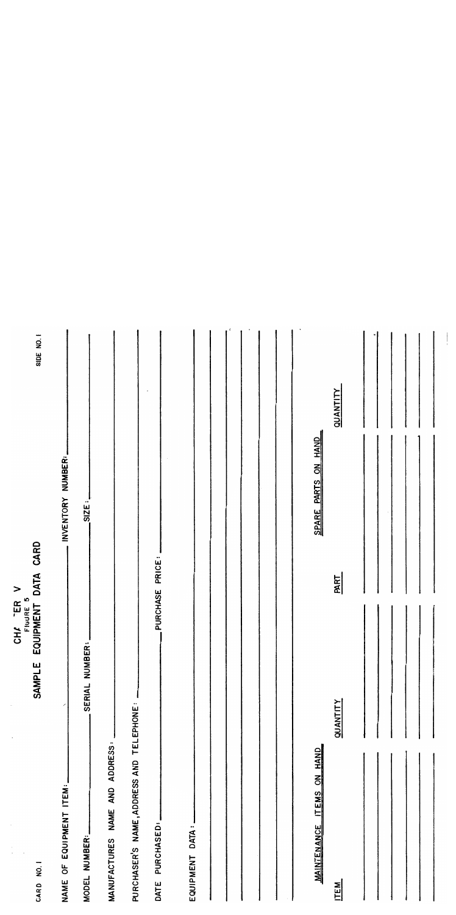|                                          | CHA "ER V                  |                 |                     |           |
|------------------------------------------|----------------------------|-----------------|---------------------|-----------|
| CARD NO.1                                | EQUIPMENT<br><b>SAMPLE</b> | DATA CARD       |                     | SIDE NO.1 |
| NAME OF EQUIPMENT ITEM:                  |                            |                 | INVENTORY NUMBER:   |           |
| MODEL NUMBER:                            | SERIAL NUMBER:             | SIZE:           |                     |           |
| MANUFACTURES NAME AND ADDRESS:           |                            |                 |                     |           |
| PURCHASER'S NAME, ADDRESS AND TELEPHONE: |                            |                 |                     |           |
| PURCHASED:<br>DATE                       |                            | PURCHASE PRICE: |                     |           |
| EQUIPMENT DATA:                          |                            |                 |                     |           |
|                                          |                            |                 |                     |           |
|                                          |                            |                 |                     | ÷         |
|                                          |                            |                 |                     |           |
|                                          |                            |                 |                     |           |
|                                          |                            |                 | SPARE PARTS ON HAND |           |
| MAINTENANCE ITEMS ON HAND<br><b>ITEM</b> | <b>QUANTITY</b>            | PART            | QUANTITY            |           |
|                                          |                            |                 |                     |           |
|                                          |                            |                 |                     |           |
|                                          |                            |                 |                     |           |
|                                          |                            |                 |                     |           |
|                                          |                            |                 |                     |           |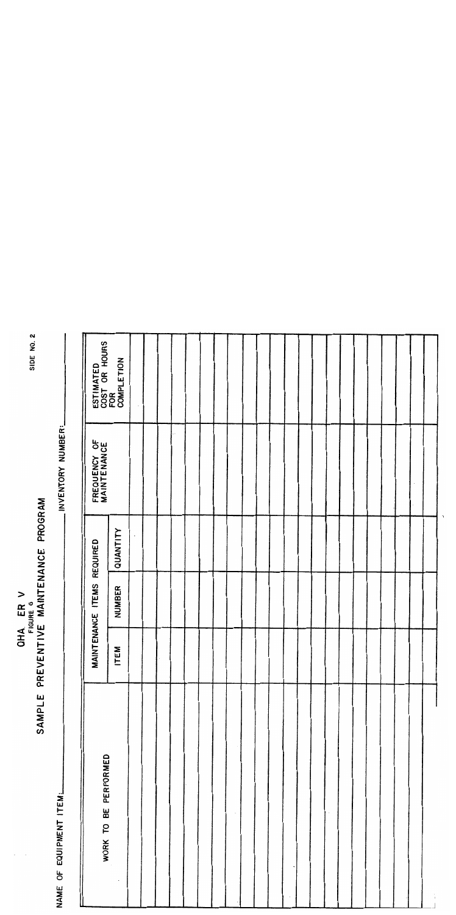|                         | SAMPLE PREVENTIVE  | MAINTENANCE   | <b>PROGRAM</b> |                             |                                                 |
|-------------------------|--------------------|---------------|----------------|-----------------------------|-------------------------------------------------|
| NAME OF EQUIPMENT ITEM: |                    |               |                | .INVENTORY NUMBER:          |                                                 |
| WORK TO BE PERFORMED    | <b>MAINTENANCE</b> | <b>ITEMS</b>  | REQUIRED       | FREQUENCY OF<br>MAINTENANCE |                                                 |
|                         | <b>ITEM</b>        | <b>NUMBER</b> | QUANTITY       |                             | ESTIMATED<br>COST OR HOURS<br>FOR<br>COMPLETION |
|                         |                    |               |                |                             |                                                 |
|                         |                    |               |                |                             |                                                 |
|                         |                    |               |                |                             |                                                 |
|                         |                    |               |                | $\ddot{\phantom{0}}$        |                                                 |
|                         |                    |               |                |                             |                                                 |
|                         |                    |               |                |                             |                                                 |
|                         |                    |               |                |                             |                                                 |
|                         |                    |               |                |                             |                                                 |
|                         |                    |               |                |                             |                                                 |
|                         |                    |               |                |                             |                                                 |
|                         |                    |               |                |                             |                                                 |
|                         |                    |               |                |                             |                                                 |
|                         |                    |               |                |                             |                                                 |
|                         |                    |               |                |                             |                                                 |
|                         |                    |               |                |                             |                                                 |
|                         |                    |               |                |                             |                                                 |
|                         |                    |               |                |                             |                                                 |
|                         |                    |               |                |                             |                                                 |
|                         |                    |               |                |                             |                                                 |
|                         |                    |               |                |                             |                                                 |
|                         |                    |               |                |                             |                                                 |
|                         |                    |               |                |                             |                                                 |

٦

**OHA ERV**<br>FIGURE 6<br>SAMPLE PREVENTIVE MAINTFNANCE

SIDE NO. 2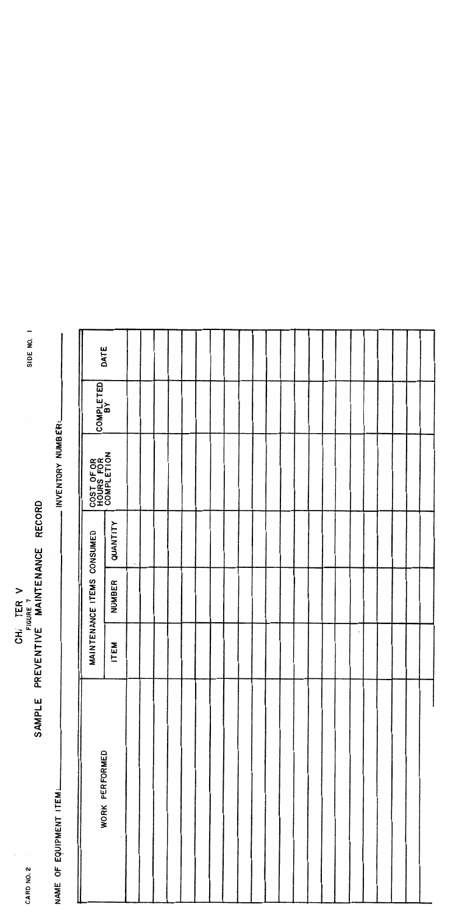| Ċ,<br>CARD NO. 2        |     |                            | CHI TER V<br>FIGURE 7<br>SAMPLE PREVENTIVE MAINTENANCE RECORD |                                       |           | -<br>SIDE NO. |
|-------------------------|-----|----------------------------|---------------------------------------------------------------|---------------------------------------|-----------|---------------|
| NAME OF EQUIPMENT ITEM: |     |                            |                                                               | . INVENTORY NUMBER:                   |           |               |
|                         |     |                            |                                                               |                                       |           |               |
| WORK PERFORMED          |     | MAINTENANCE ITEMS CONSUMED |                                                               | COST OF OR<br>HOURS FOR<br>COMPLETION | COMPLETED | DATE          |
|                         | TEM | <b>NUMBER</b>              | QUANTITY                                                      |                                       |           |               |
|                         |     |                            | $\bullet$                                                     |                                       |           |               |
|                         |     |                            |                                                               |                                       |           |               |
|                         |     |                            |                                                               |                                       |           |               |
|                         |     |                            |                                                               |                                       |           |               |
|                         |     |                            |                                                               |                                       |           |               |
|                         |     |                            |                                                               |                                       |           |               |
|                         |     |                            |                                                               |                                       |           |               |
|                         |     |                            |                                                               |                                       |           |               |
|                         |     |                            |                                                               |                                       |           |               |
|                         |     |                            |                                                               |                                       |           |               |
|                         |     |                            |                                                               |                                       |           |               |
|                         |     |                            |                                                               |                                       |           |               |
|                         |     |                            |                                                               |                                       |           |               |
|                         |     |                            |                                                               |                                       |           |               |
|                         |     |                            |                                                               |                                       |           |               |
|                         |     |                            |                                                               |                                       |           |               |
|                         |     |                            |                                                               |                                       |           |               |
|                         |     |                            |                                                               |                                       |           |               |
|                         |     |                            |                                                               |                                       |           |               |
|                         |     |                            |                                                               |                                       |           |               |
|                         |     |                            |                                                               |                                       |           |               |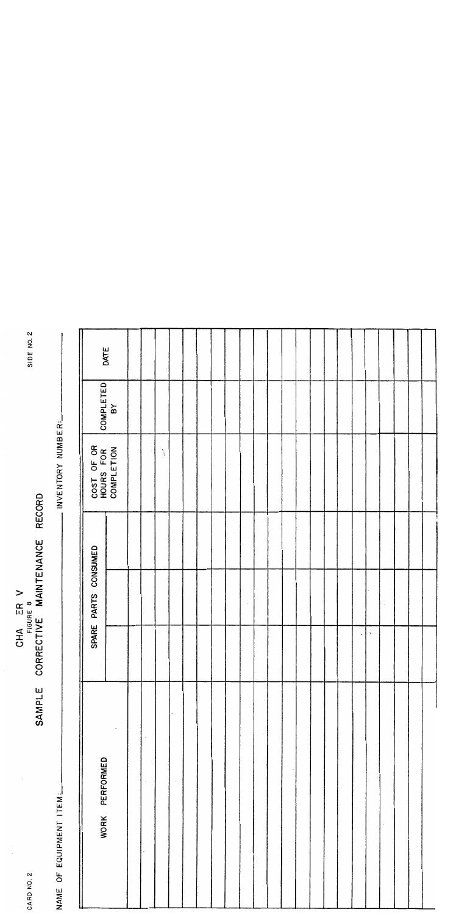| SIDE NO. 2    |                         |                                       | DATE                  |                    |                       |  |  |  |  |  |  |           |    |  |  |
|---------------|-------------------------|---------------------------------------|-----------------------|--------------------|-----------------------|--|--|--|--|--|--|-----------|----|--|--|
|               |                         | COMPLETED                             | $\mathbf{B}^{\prime}$ |                    |                       |  |  |  |  |  |  |           |    |  |  |
|               | - INVENTORY NUMBER:     | COST OF OR<br>HOURS FOR<br>COMPLETION |                       |                    | $\tilde{\mathcal{E}}$ |  |  |  |  |  |  |           |    |  |  |
| RECORD        |                         |                                       |                       |                    |                       |  |  |  |  |  |  |           |    |  |  |
| MAINTENANCE   |                         | PARTS CONSUMED                        |                       |                    |                       |  |  |  |  |  |  |           |    |  |  |
| CORRECTIVE M/ |                         | SPARE                                 |                       |                    |                       |  |  |  |  |  |  | $\bullet$ | Ŷ. |  |  |
| SAMPLE        |                         |                                       |                       | $\pmb{\mathsf{S}}$ |                       |  |  |  |  |  |  |           |    |  |  |
|               | NAME OF EQUIPMENT ITEM: | PERFORMED<br><b>WORK</b>              |                       | $\cdot$            |                       |  |  |  |  |  |  |           |    |  |  |
| CARD NO. Z    |                         |                                       |                       |                    |                       |  |  |  |  |  |  |           |    |  |  |

CHA ER V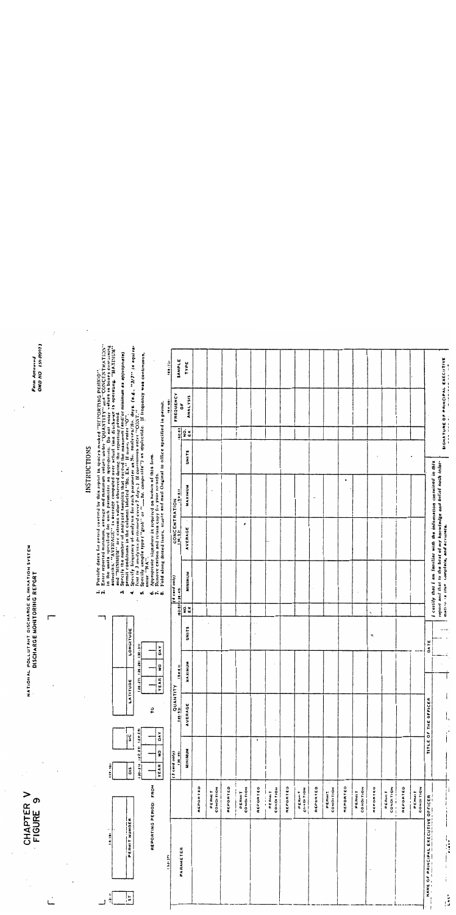|        |                                                                                                                                                                                  | CHAPTER V<br>FIGURE 9                                                                                                                      |                                    |                            |                          |           |            | NATIONAL POLLUTANT DISCHARGE ELIMINATION SYSTEM<br>NATIONAL POLLUTANT DISCHARGE ELIMINATION SYSTEM           |                    |                                                                                                                                                                                                                                                                                                                                                                                                                                   |              |                                                                                                  |                                  | OND NO 151-R007<br>Porm Arriveved |
|--------|----------------------------------------------------------------------------------------------------------------------------------------------------------------------------------|--------------------------------------------------------------------------------------------------------------------------------------------|------------------------------------|----------------------------|--------------------------|-----------|------------|--------------------------------------------------------------------------------------------------------------|--------------------|-----------------------------------------------------------------------------------------------------------------------------------------------------------------------------------------------------------------------------------------------------------------------------------------------------------------------------------------------------------------------------------------------------------------------------------|--------------|--------------------------------------------------------------------------------------------------|----------------------------------|-----------------------------------|
|        |                                                                                                                                                                                  |                                                                                                                                            |                                    |                            | $\cdot$                  |           |            |                                                                                                              |                    |                                                                                                                                                                                                                                                                                                                                                                                                                                   |              |                                                                                                  |                                  |                                   |
|        |                                                                                                                                                                                  |                                                                                                                                            |                                    |                            |                          |           |            |                                                                                                              |                    |                                                                                                                                                                                                                                                                                                                                                                                                                                   |              |                                                                                                  |                                  |                                   |
|        |                                                                                                                                                                                  |                                                                                                                                            |                                    |                            |                          |           |            |                                                                                                              |                    |                                                                                                                                                                                                                                                                                                                                                                                                                                   | INSTRUCTIONS |                                                                                                  |                                  |                                   |
| 회 - '티 | PERMIT NUMBER<br>$\frac{1}{2}$                                                                                                                                                   |                                                                                                                                            | $rac{C}{20}$<br>11.7<br>ã          |                            | ۳<br>LATITUD             | LONGITUDE |            | ÷d<br>÷<br>M                                                                                                 |                    | Provide dates for period covered by this riport in spaces marked "REDORTING PERIOD".<br>Enter repairs simplified for every natural material surface in OUANTITY" and "CONCENTRATION"<br>asterisks: "AVERAGE" is average computed ove                                                                                                                                                                                              |              |                                                                                                  |                                  |                                   |
|        |                                                                                                                                                                                  | REPORTING PERIOD: FROM                                                                                                                     | $14 + 26$<br>122.23<br>$120 - 211$ | ဥ                          | 271 128-291<br>YEAR<br>회 | $-31$     |            | v,<br>خه نه ن                                                                                                |                    | Specify frequency of analysis for each parameter as No. only seek (e.g., "J/7" is equivalently frequency of analysis for each parameter as No. only ses $N_0$ , days. (e.g., "J/7" is equivalently so printently every large (<br>Appropriate signature is required on bottom of this form.<br>Remove carbon and retun copy for your revords.<br>Fold along dotted Inces, staple and mail Original to office apecified in permit. |              |                                                                                                  |                                  |                                   |
|        |                                                                                                                                                                                  |                                                                                                                                            | ă<br>ş<br><b>YEAR</b>              |                            | ၟ                        | ă         |            |                                                                                                              |                    |                                                                                                                                                                                                                                                                                                                                                                                                                                   |              |                                                                                                  | 169.981                          | a<br>!                            |
|        |                                                                                                                                                                                  |                                                                                                                                            | $(3 \text{ and only})$             | <b>ALIANTID</b><br>ALIANDO | $rac{1}{2}$              |           | 163-201    | (dice bies b)<br>$138 - 481$                                                                                 | CONCENTRATION      |                                                                                                                                                                                                                                                                                                                                                                                                                                   |              |                                                                                                  | FREQUENCY                        | SAMPLE                            |
|        | PARAMETER                                                                                                                                                                        |                                                                                                                                            | MINIMUM                            | AVERAGE                    | MAXINUM                  | UNITS     | ទ្ធ ×<br>ខ | <b>MININUM</b>                                                                                               | $\cdot$<br>AVERAGE | <b>MAXIMUM</b>                                                                                                                                                                                                                                                                                                                                                                                                                    | <b>UNITS</b> | $\begin{array}{ c c }\n\hline\n\text{1-0} \\ \hline\n\text{10} \\ \hline\n\text{1}\n\end{array}$ | ANALYSIS<br>ŏ                    | TYPE                              |
|        |                                                                                                                                                                                  | REPORTED                                                                                                                                   |                                    |                            |                          |           |            |                                                                                                              |                    |                                                                                                                                                                                                                                                                                                                                                                                                                                   |              |                                                                                                  |                                  |                                   |
|        |                                                                                                                                                                                  | <b>CONDITION</b><br><b>PERMIT</b>                                                                                                          |                                    |                            |                          |           |            |                                                                                                              |                    |                                                                                                                                                                                                                                                                                                                                                                                                                                   |              |                                                                                                  |                                  |                                   |
|        |                                                                                                                                                                                  | REPORTED                                                                                                                                   |                                    |                            |                          |           |            |                                                                                                              |                    |                                                                                                                                                                                                                                                                                                                                                                                                                                   |              |                                                                                                  |                                  |                                   |
|        |                                                                                                                                                                                  | PERMIT<br>CONDITION                                                                                                                        |                                    |                            |                          |           |            |                                                                                                              | $\pmb{\cdot}$      |                                                                                                                                                                                                                                                                                                                                                                                                                                   |              |                                                                                                  |                                  |                                   |
|        |                                                                                                                                                                                  | REPORTED                                                                                                                                   | $\bullet$                          |                            |                          | $\sim$ .  |            |                                                                                                              |                    |                                                                                                                                                                                                                                                                                                                                                                                                                                   |              |                                                                                                  |                                  |                                   |
|        |                                                                                                                                                                                  | <b>CONDITION</b><br>PERMIT<br>$\vdots$                                                                                                     |                                    |                            |                          |           |            |                                                                                                              |                    |                                                                                                                                                                                                                                                                                                                                                                                                                                   |              |                                                                                                  |                                  |                                   |
|        |                                                                                                                                                                                  | REPORTED                                                                                                                                   |                                    |                            |                          |           |            |                                                                                                              |                    |                                                                                                                                                                                                                                                                                                                                                                                                                                   |              |                                                                                                  |                                  |                                   |
|        |                                                                                                                                                                                  | <b>CONDITION</b><br>PERMIT                                                                                                                 |                                    |                            |                          |           |            |                                                                                                              |                    |                                                                                                                                                                                                                                                                                                                                                                                                                                   |              |                                                                                                  |                                  |                                   |
|        |                                                                                                                                                                                  | REPORTED                                                                                                                                   |                                    |                            |                          |           |            |                                                                                                              |                    | $\pmb{\cdots}$                                                                                                                                                                                                                                                                                                                                                                                                                    |              |                                                                                                  |                                  |                                   |
|        |                                                                                                                                                                                  | PERMIT<br>CONDITION                                                                                                                        |                                    |                            |                          |           |            |                                                                                                              |                    |                                                                                                                                                                                                                                                                                                                                                                                                                                   |              |                                                                                                  |                                  |                                   |
|        |                                                                                                                                                                                  | REPORTED                                                                                                                                   |                                    |                            |                          |           |            |                                                                                                              |                    | $\bullet$                                                                                                                                                                                                                                                                                                                                                                                                                         |              |                                                                                                  |                                  |                                   |
|        |                                                                                                                                                                                  | <b>CONOI TION</b><br>PERMIT                                                                                                                |                                    |                            |                          |           |            | $\cdot$                                                                                                      |                    |                                                                                                                                                                                                                                                                                                                                                                                                                                   |              |                                                                                                  |                                  |                                   |
|        |                                                                                                                                                                                  | REPORTED                                                                                                                                   |                                    |                            |                          | ×.        | ۰,         |                                                                                                              |                    |                                                                                                                                                                                                                                                                                                                                                                                                                                   |              |                                                                                                  |                                  |                                   |
|        |                                                                                                                                                                                  | $\begin{array}{c}\n\text{COND} \text{I} \text{I} \text{O} \text{N} \\ \text{I} \text{I} \text{I} \text{O} \text{N}\n\end{array}$<br>PERMIT |                                    |                            |                          |           |            |                                                                                                              |                    |                                                                                                                                                                                                                                                                                                                                                                                                                                   |              |                                                                                                  |                                  |                                   |
|        |                                                                                                                                                                                  | REPORTED                                                                                                                                   |                                    |                            |                          |           |            |                                                                                                              |                    |                                                                                                                                                                                                                                                                                                                                                                                                                                   |              |                                                                                                  |                                  |                                   |
|        |                                                                                                                                                                                  | PERMIT<br>CONDITION                                                                                                                        |                                    |                            |                          |           |            |                                                                                                              |                    |                                                                                                                                                                                                                                                                                                                                                                                                                                   |              |                                                                                                  |                                  |                                   |
|        | MANE OF PRINCIPAL EXECUTIVE OFFICER                                                                                                                                              |                                                                                                                                            |                                    | TITLE OF THE OFFICER       |                          | DATE      |            | I certify that I am Iamiliar with the information contained in this                                          |                    |                                                                                                                                                                                                                                                                                                                                                                                                                                   |              |                                                                                                  |                                  |                                   |
|        |                                                                                                                                                                                  |                                                                                                                                            |                                    |                            |                          | $+ - +$   |            | report and that to the best of my knowledge and belief such infor-<br>mation in true complete, and accurate. |                    |                                                                                                                                                                                                                                                                                                                                                                                                                                   |              |                                                                                                  | SIGNATURE OF PRINCIPAL EXECUTIVE |                                   |
| is.    | $\frac{1}{2} \int_{0}^{2\pi} \frac{1}{2} \left( \frac{1}{2} \right) \left( \frac{1}{2} \right) \, dx = \frac{1}{2} \int_{0}^{2\pi} \frac{1}{2} \left( \frac{1}{2} \right) \, dx$ | $\begin{matrix} \vdots \\ \vdots \\ \vdots \end{matrix}$                                                                                   |                                    | I,<br>$\frac{1}{1}$        |                          |           |            |                                                                                                              |                    |                                                                                                                                                                                                                                                                                                                                                                                                                                   |              |                                                                                                  |                                  |                                   |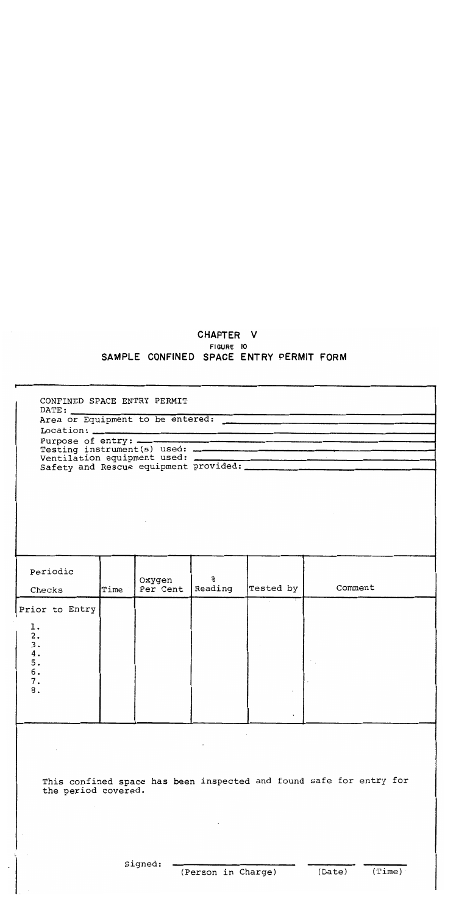# CHAPTER V FIGURE 10 SAMPLE CONFINED SPACE ENTRY PERMIT FORM

| CONFINED SPACE ENTRY PERMIT |      |                    |                    |           |                                                                     |
|-----------------------------|------|--------------------|--------------------|-----------|---------------------------------------------------------------------|
|                             |      |                    |                    |           |                                                                     |
|                             |      |                    |                    |           |                                                                     |
|                             |      |                    |                    |           |                                                                     |
|                             |      |                    |                    |           |                                                                     |
|                             |      |                    |                    |           |                                                                     |
|                             |      |                    |                    |           |                                                                     |
| Periodic<br>Checks          | Time | Oxygen<br>Per Cent | နွ<br>Reading      | Tested by | Comment                                                             |
|                             |      |                    |                    |           |                                                                     |
| Prior to Entry              |      |                    |                    |           |                                                                     |
| ı.                          |      |                    |                    |           |                                                                     |
| 2.<br>3.                    |      |                    |                    |           |                                                                     |
| 4.<br>5.                    |      |                    |                    |           |                                                                     |
| 6.                          |      |                    |                    |           |                                                                     |
| 7.                          |      |                    |                    |           |                                                                     |
| 8.                          |      |                    |                    |           |                                                                     |
|                             |      |                    |                    |           |                                                                     |
| the period covered.         |      |                    |                    |           | This confined space has been inspected and found safe for entry for |
|                             |      |                    |                    |           |                                                                     |
|                             |      | Signed:            | (Person in Charge) |           | (Time)<br>(Date)                                                    |